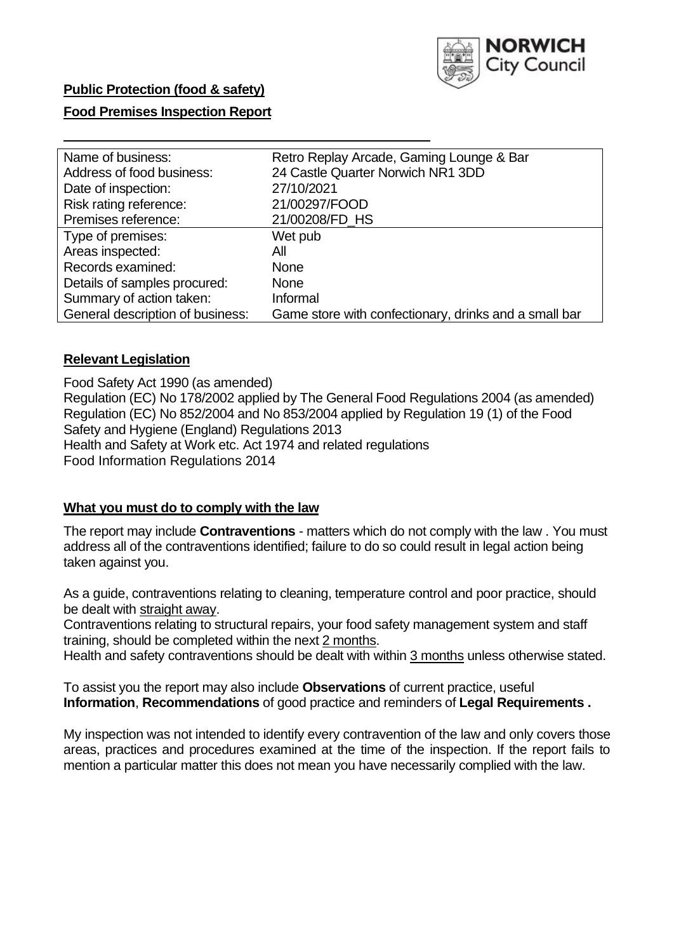

# **Public Protection (food & safety)**

#### **Food Premises Inspection Report**

| Name of business:                | Retro Replay Arcade, Gaming Lounge & Bar              |  |  |  |  |
|----------------------------------|-------------------------------------------------------|--|--|--|--|
| Address of food business:        | 24 Castle Quarter Norwich NR1 3DD                     |  |  |  |  |
| Date of inspection:              | 27/10/2021                                            |  |  |  |  |
| Risk rating reference:           | 21/00297/FOOD                                         |  |  |  |  |
| Premises reference:              | 21/00208/FD HS                                        |  |  |  |  |
| Type of premises:                | Wet pub                                               |  |  |  |  |
| Areas inspected:                 | All                                                   |  |  |  |  |
| Records examined:                | None                                                  |  |  |  |  |
| Details of samples procured:     | <b>None</b>                                           |  |  |  |  |
| Summary of action taken:         | Informal                                              |  |  |  |  |
| General description of business: | Game store with confectionary, drinks and a small bar |  |  |  |  |

#### **Relevant Legislation**

 Food Safety Act 1990 (as amended) Regulation (EC) No 178/2002 applied by The General Food Regulations 2004 (as amended) Regulation (EC) No 852/2004 and No 853/2004 applied by Regulation 19 (1) of the Food Safety and Hygiene (England) Regulations 2013 Health and Safety at Work etc. Act 1974 and related regulations Food Information Regulations 2014

#### **What you must do to comply with the law**

 The report may include **Contraventions** - matters which do not comply with the law . You must address all of the contraventions identified; failure to do so could result in legal action being taken against you.

 As a guide, contraventions relating to cleaning, temperature control and poor practice, should be dealt with straight away.

 Contraventions relating to structural repairs, your food safety management system and staff training, should be completed within the next 2 months.

Health and safety contraventions should be dealt with within 3 months unless otherwise stated.

 To assist you the report may also include **Observations** of current practice, useful **Information**, **Recommendations** of good practice and reminders of **Legal Requirements .** 

 My inspection was not intended to identify every contravention of the law and only covers those areas, practices and procedures examined at the time of the inspection. If the report fails to mention a particular matter this does not mean you have necessarily complied with the law.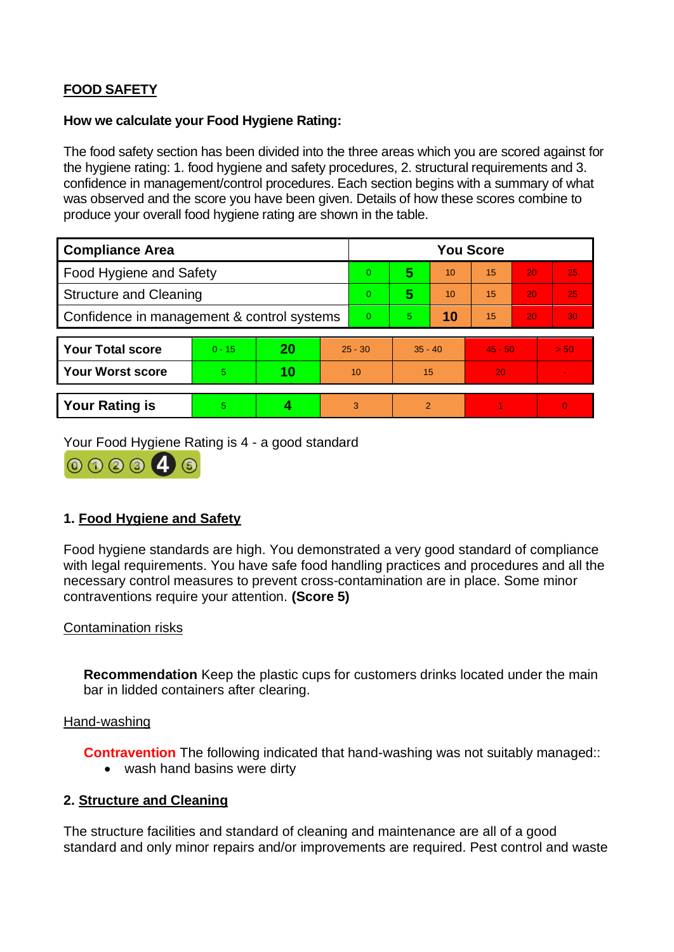# **FOOD SAFETY**

#### **How we calculate your Food Hygiene Rating:**

 The food safety section has been divided into the three areas which you are scored against for the hygiene rating: 1. food hygiene and safety procedures, 2. structural requirements and 3. confidence in management/control procedures. Each section begins with a summary of what was observed and the score you have been given. Details of how these scores combine to produce your overall food hygiene rating are shown in the table.

| <b>Compliance Area</b>                     |          |    |           | <b>You Score</b> |                |    |           |    |                |  |  |
|--------------------------------------------|----------|----|-----------|------------------|----------------|----|-----------|----|----------------|--|--|
| <b>Food Hygiene and Safety</b>             |          |    |           | $\overline{0}$   | 5              | 10 | 15        | 20 | 25             |  |  |
| <b>Structure and Cleaning</b>              |          |    |           | $\Omega$         | 5              | 10 | 15        | 20 | 25             |  |  |
| Confidence in management & control systems |          |    | $\Omega$  | 5                | 10             | 15 | 20        | 30 |                |  |  |
|                                            |          |    |           |                  |                |    |           |    |                |  |  |
| <b>Your Total score</b>                    | $0 - 15$ | 20 | $25 - 30$ |                  | $35 - 40$      |    | $45 - 50$ |    | > 50           |  |  |
| Your Worst score                           | 5.       | 10 | 10        |                  | 15             |    | 20        |    | $\blacksquare$ |  |  |
|                                            |          |    |           |                  |                |    |           |    |                |  |  |
| <b>Your Rating is</b>                      | 5        |    |           | 3                | $\overline{2}$ |    |           |    | $\overline{0}$ |  |  |

Your Food Hygiene Rating is 4 - a good standard



# **1. Food Hygiene and Safety**

 with legal requirements. You have safe food handling practices and procedures and all the Food hygiene standards are high. You demonstrated a very good standard of compliance necessary control measures to prevent cross-contamination are in place. Some minor contraventions require your attention. **(Score 5)** 

#### Contamination risks

**Recommendation** Keep the plastic cups for customers drinks located under the main bar in lidded containers after clearing.

#### Hand-washing

**Contravention** The following indicated that hand-washing was not suitably managed::

• wash hand basins were dirty

#### **2. Structure and Cleaning**

The structure facilities and standard of cleaning and maintenance are all of a good standard and only minor repairs and/or improvements are required. Pest control and waste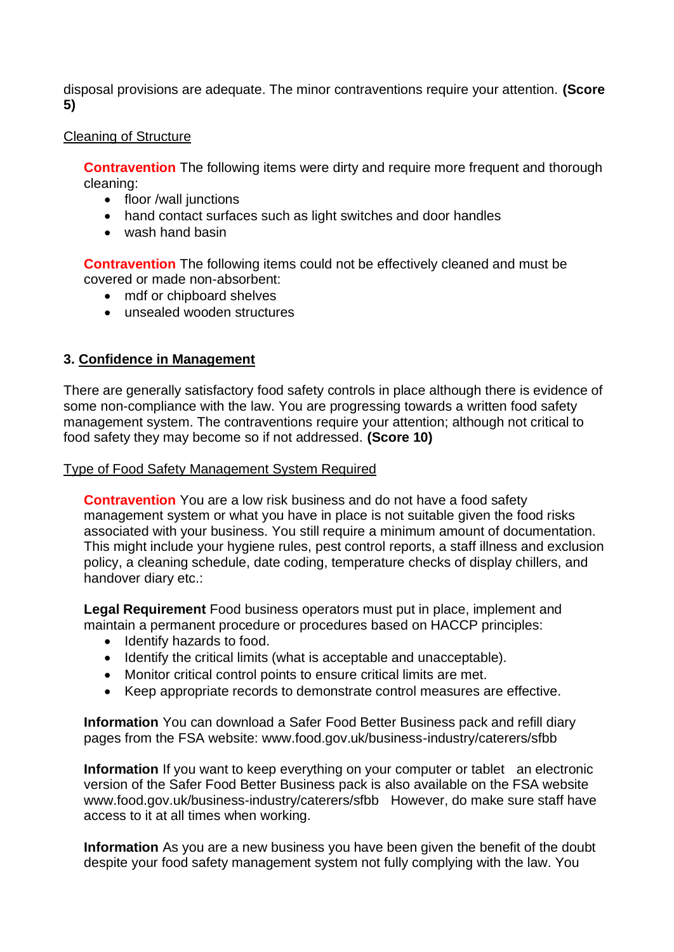disposal provisions are adequate. The minor contraventions require your attention. **(Score 5)** 

## Cleaning of Structure

**Contravention** The following items were dirty and require more frequent and thorough cleaning:

- floor /wall junctions
- hand contact surfaces such as light switches and door handles
- wash hand basin

**Contravention** The following items could not be effectively cleaned and must be covered or made non-absorbent:

- mdf or chipboard shelves
- unsealed wooden structures

## **3. Confidence in Management**

There are generally satisfactory food safety controls in place although there is evidence of some non-compliance with the law. You are progressing towards a written food safety management system. The contraventions require your attention; although not critical to food safety they may become so if not addressed. **(Score 10)** 

#### Type of Food Safety Management System Required

 This might include your hygiene rules, pest control reports, a staff illness and exclusion **Contravention** You are a low risk business and do not have a food safety management system or what you have in place is not suitable given the food risks associated with your business. You still require a minimum amount of documentation. policy, a cleaning schedule, date coding, temperature checks of display chillers, and handover diary etc.:

 maintain a permanent procedure or procedures based on HACCP principles: **Legal Requirement** Food business operators must put in place, implement and

- Identify hazards to food.
- Identify the critical limits (what is acceptable and unacceptable).
- Monitor critical control points to ensure critical limits are met.
- Keep appropriate records to demonstrate control measures are effective.

**Information** You can download a Safer Food Better Business pack and refill diary pages from the FSA website: <www.food.gov.uk/business-industry/caterers/sfbb>

 **Information** If you want to keep everything on your computer or tablet an electronic <www.food.gov.uk/business-industry/caterers/sfbb>However, do make sure staff have version of the Safer Food Better Business pack is also available on the FSA website access to it at all times when working.

 **Information** As you are a new business you have been given the benefit of the doubt despite your food safety management system not fully complying with the law. You